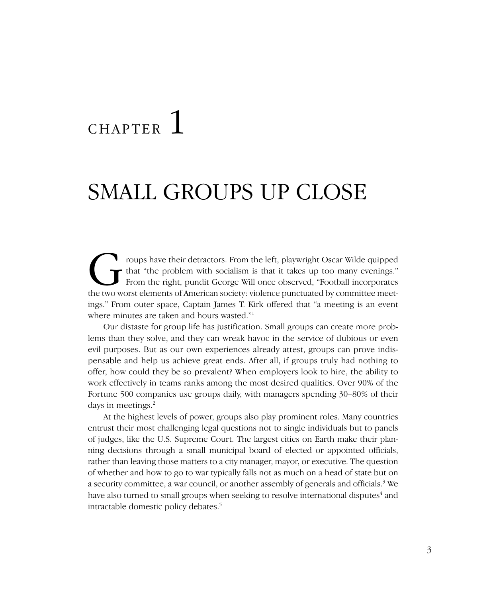# **CHAPTER**

# SMALL GROUPS UP CLOSE

That "the problem with socialism is that it takes up too many evenings."<br>From the right, pundit George Will once observed, "Football incorporates<br>the two worst elements of American society: violence punctuated by committee that "the problem with socialism is that it takes up too many evenings." From the right, pundit George Will once observed, "Football incorporates the two worst elements of American society: violence punctuated by committee meetings." From outer space, Captain James T. Kirk offered that "a meeting is an event where minutes are taken and hours wasted."1

Our distaste for group life has justification. Small groups can create more problems than they solve, and they can wreak havoc in the service of dubious or even evil purposes. But as our own experiences already attest, groups can prove indispensable and help us achieve great ends. After all, if groups truly had nothing to offer, how could they be so prevalent? When employers look to hire, the ability to work effectively in teams ranks among the most desired qualities. Over 90% of the Fortune 500 companies use groups daily, with managers spending 30–80% of their days in meetings.<sup>2</sup>

At the highest levels of power, groups also play prominent roles. Many countries entrust their most challenging legal questions not to single individuals but to panels of judges, like the U.S. Supreme Court. The largest cities on Earth make their planning decisions through a small municipal board of elected or appointed officials, rather than leaving those matters to a city manager, mayor, or executive. The question of whether and how to go to war typically falls not as much on a head of state but on a security committee, a war council, or another assembly of generals and officials.<sup>3</sup> We have also turned to small groups when seeking to resolve international disputes<sup>4</sup> and intractable domestic policy debates.5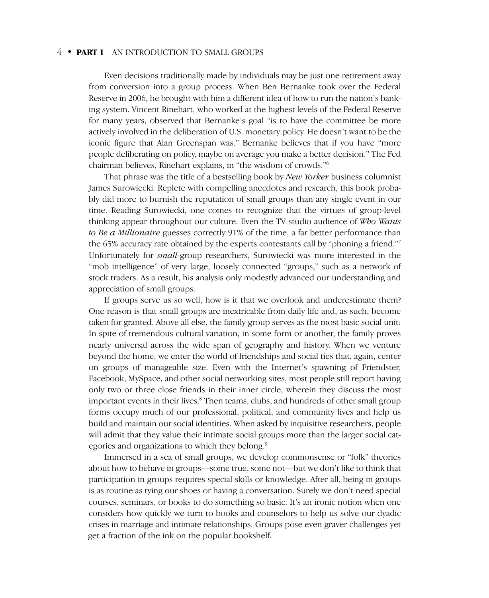Even decisions traditionally made by individuals may be just one retirement away from conversion into a group process. When Ben Bernanke took over the Federal Reserve in 2006, he brought with him a different idea of how to run the nation's banking system. Vincent Rinehart, who worked at the highest levels of the Federal Reserve for many years, observed that Bernanke's goal "is to have the committee be more actively involved in the deliberation of U.S. monetary policy. He doesn't want to be the iconic figure that Alan Greenspan was." Bernanke believes that if you have "more people deliberating on policy, maybe on average you make a better decision." The Fed chairman believes, Rinehart explains, in "the wisdom of crowds."6

That phrase was the title of a bestselling book by *New Yorker* business columnist James Surowiecki. Replete with compelling anecdotes and research, this book probably did more to burnish the reputation of small groups than any single event in our time. Reading Surowiecki, one comes to recognize that the virtues of group-level thinking appear throughout our culture. Even the TV studio audience of *Who Wants to Be a Millionaire* guesses correctly 91% of the time, a far better performance than the 65% accuracy rate obtained by the experts contestants call by "phoning a friend."7 Unfortunately for *small*-group researchers, Surowiecki was more interested in the "mob intelligence" of very large, loosely connected "groups," such as a network of stock traders. As a result, his analysis only modestly advanced our understanding and appreciation of small groups.

If groups serve us so well, how is it that we overlook and underestimate them? One reason is that small groups are inextricable from daily life and, as such, become taken for granted. Above all else, the family group serves as the most basic social unit: In spite of tremendous cultural variation, in some form or another, the family proves nearly universal across the wide span of geography and history. When we venture beyond the home, we enter the world of friendships and social ties that, again, center on groups of manageable size. Even with the Internet's spawning of Friendster, Facebook, MySpace, and other social networking sites, most people still report having only two or three close friends in their inner circle, wherein they discuss the most important events in their lives.<sup>8</sup> Then teams, clubs, and hundreds of other small group forms occupy much of our professional, political, and community lives and help us build and maintain our social identities. When asked by inquisitive researchers, people will admit that they value their intimate social groups more than the larger social categories and organizations to which they belong.<sup>9</sup>

Immersed in a sea of small groups, we develop commonsense or "folk" theories about how to behave in groups—some true, some not—but we don't like to think that participation in groups requires special skills or knowledge. After all, being in groups is as routine as tying our shoes or having a conversation. Surely we don't need special courses, seminars, or books to do something so basic. It's an ironic notion when one considers how quickly we turn to books and counselors to help us solve our dyadic crises in marriage and intimate relationships. Groups pose even graver challenges yet get a fraction of the ink on the popular bookshelf.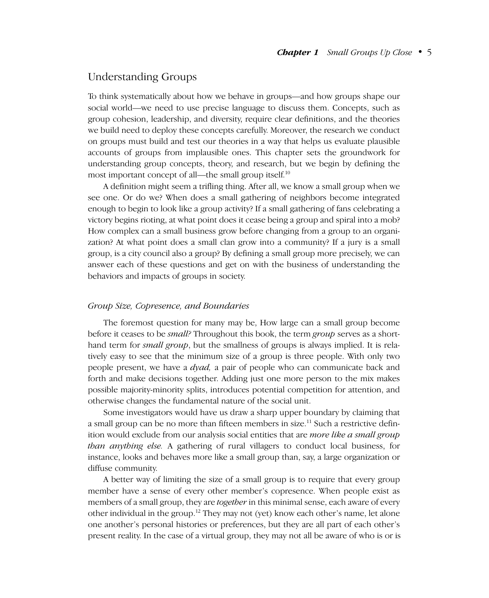# Understanding Groups

To think systematically about how we behave in groups—and how groups shape our social world—we need to use precise language to discuss them. Concepts, such as group cohesion, leadership, and diversity, require clear definitions, and the theories we build need to deploy these concepts carefully. Moreover, the research we conduct on groups must build and test our theories in a way that helps us evaluate plausible accounts of groups from implausible ones. This chapter sets the groundwork for understanding group concepts, theory, and research, but we begin by defining the most important concept of all—the small group itself.<sup>10</sup>

A definition might seem a trifling thing. After all, we know a small group when we see one. Or do we? When does a small gathering of neighbors become integrated enough to begin to look like a group activity? If a small gathering of fans celebrating a victory begins rioting, at what point does it cease being a group and spiral into a mob? How complex can a small business grow before changing from a group to an organization? At what point does a small clan grow into a community? If a jury is a small group, is a city council also a group? By defining a small group more precisely, we can answer each of these questions and get on with the business of understanding the behaviors and impacts of groups in society.

#### *Group Size, Copresence, and Boundaries*

The foremost question for many may be, How large can a small group become before it ceases to be *small?* Throughout this book, the term *group* serves as a shorthand term for *small group*, but the smallness of groups is always implied. It is relatively easy to see that the minimum size of a group is three people. With only two people present, we have a *dyad,* a pair of people who can communicate back and forth and make decisions together. Adding just one more person to the mix makes possible majority-minority splits, introduces potential competition for attention, and otherwise changes the fundamental nature of the social unit.

Some investigators would have us draw a sharp upper boundary by claiming that a small group can be no more than fifteen members in size.<sup>11</sup> Such a restrictive definition would exclude from our analysis social entities that are *more like a small group than anything else.* A gathering of rural villagers to conduct local business, for instance, looks and behaves more like a small group than, say, a large organization or diffuse community.

A better way of limiting the size of a small group is to require that every group member have a sense of every other member's copresence. When people exist as members of a small group, they are *together* in this minimal sense, each aware of every other individual in the group.12 They may not (yet) know each other's name, let alone one another's personal histories or preferences, but they are all part of each other's present reality. In the case of a virtual group, they may not all be aware of who is or is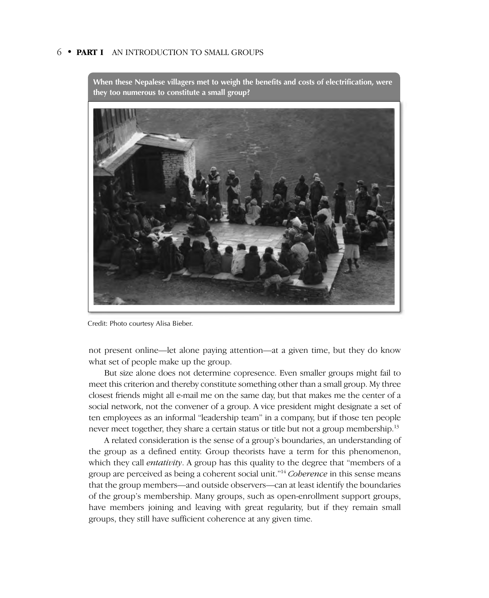

**When these Nepalese villagers met to weigh the benefits and costs of electrification, were they too numerous to constitute a small group?**

Credit: Photo courtesy Alisa Bieber.

not present online—let alone paying attention—at a given time, but they do know what set of people make up the group.

But size alone does not determine copresence. Even smaller groups might fail to meet this criterion and thereby constitute something other than a small group. My three closest friends might all e-mail me on the same day, but that makes me the center of a social network, not the convener of a group. A vice president might designate a set of ten employees as an informal "leadership team" in a company, but if those ten people never meet together, they share a certain status or title but not a group membership.<sup>13</sup>

A related consideration is the sense of a group's boundaries, an understanding of the group as a defined entity. Group theorists have a term for this phenomenon, which they call *entativity*. A group has this quality to the degree that "members of a group are perceived as being a coherent social unit."14 *Coherence* in this sense means that the group members—and outside observers—can at least identify the boundaries of the group's membership. Many groups, such as open-enrollment support groups, have members joining and leaving with great regularity, but if they remain small groups, they still have sufficient coherence at any given time.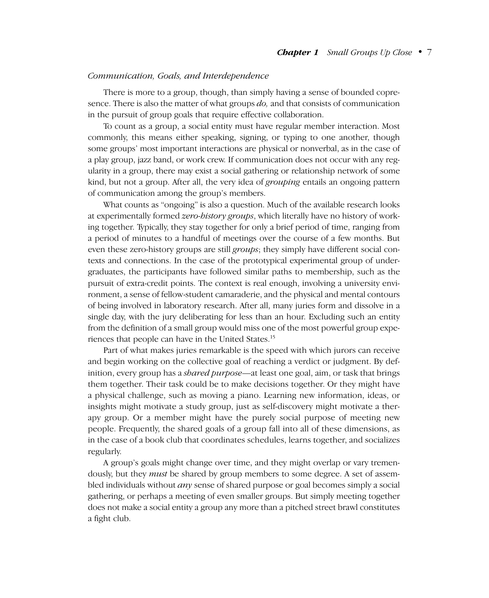#### *Communication, Goals, and Interdependence*

There is more to a group, though, than simply having a sense of bounded copresence. There is also the matter of what groups *do,* and that consists of communication in the pursuit of group goals that require effective collaboration.

To count as a group, a social entity must have regular member interaction. Most commonly, this means either speaking, signing, or typing to one another, though some groups' most important interactions are physical or nonverbal, as in the case of a play group, jazz band, or work crew. If communication does not occur with any regularity in a group, there may exist a social gathering or relationship network of some kind, but not a group. After all, the very idea of *grouping* entails an ongoing pattern of communication among the group's members.

What counts as "ongoing" is also a question. Much of the available research looks at experimentally formed *zero-history groups*, which literally have no history of working together. Typically, they stay together for only a brief period of time, ranging from a period of minutes to a handful of meetings over the course of a few months. But even these zero-history groups are still *groups*; they simply have different social contexts and connections. In the case of the prototypical experimental group of undergraduates, the participants have followed similar paths to membership, such as the pursuit of extra-credit points. The context is real enough, involving a university environment, a sense of fellow-student camaraderie, and the physical and mental contours of being involved in laboratory research. After all, many juries form and dissolve in a single day, with the jury deliberating for less than an hour. Excluding such an entity from the definition of a small group would miss one of the most powerful group experiences that people can have in the United States.15

Part of what makes juries remarkable is the speed with which jurors can receive and begin working on the collective goal of reaching a verdict or judgment. By definition, every group has a *shared purpose*—at least one goal, aim, or task that brings them together. Their task could be to make decisions together. Or they might have a physical challenge, such as moving a piano. Learning new information, ideas, or insights might motivate a study group, just as self-discovery might motivate a therapy group. Or a member might have the purely social purpose of meeting new people. Frequently, the shared goals of a group fall into all of these dimensions, as in the case of a book club that coordinates schedules, learns together, and socializes regularly.

A group's goals might change over time, and they might overlap or vary tremendously, but they *must* be shared by group members to some degree. A set of assembled individuals without *any* sense of shared purpose or goal becomes simply a social gathering, or perhaps a meeting of even smaller groups. But simply meeting together does not make a social entity a group any more than a pitched street brawl constitutes a fight club.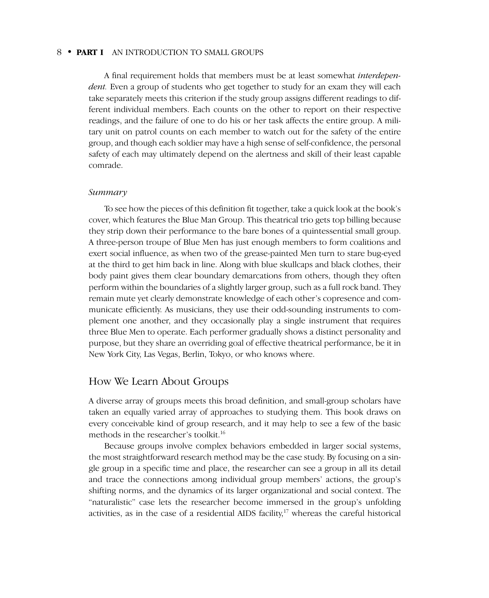A final requirement holds that members must be at least somewhat *interdependent.* Even a group of students who get together to study for an exam they will each take separately meets this criterion if the study group assigns different readings to different individual members. Each counts on the other to report on their respective readings, and the failure of one to do his or her task affects the entire group. A military unit on patrol counts on each member to watch out for the safety of the entire group, and though each soldier may have a high sense of self-confidence, the personal safety of each may ultimately depend on the alertness and skill of their least capable comrade.

#### *Summary*

To see how the pieces of this definition fit together, take a quick look at the book's cover, which features the Blue Man Group. This theatrical trio gets top billing because they strip down their performance to the bare bones of a quintessential small group. A three-person troupe of Blue Men has just enough members to form coalitions and exert social influence, as when two of the grease-painted Men turn to stare bug-eyed at the third to get him back in line. Along with blue skullcaps and black clothes, their body paint gives them clear boundary demarcations from others, though they often perform within the boundaries of a slightly larger group, such as a full rock band. They remain mute yet clearly demonstrate knowledge of each other's copresence and communicate efficiently. As musicians, they use their odd-sounding instruments to complement one another, and they occasionally play a single instrument that requires three Blue Men to operate. Each performer gradually shows a distinct personality and purpose, but they share an overriding goal of effective theatrical performance, be it in New York City, Las Vegas, Berlin, Tokyo, or who knows where.

# How We Learn About Groups

A diverse array of groups meets this broad definition, and small-group scholars have taken an equally varied array of approaches to studying them. This book draws on every conceivable kind of group research, and it may help to see a few of the basic methods in the researcher's toolkit.<sup>16</sup>

Because groups involve complex behaviors embedded in larger social systems, the most straightforward research method may be the case study. By focusing on a single group in a specific time and place, the researcher can see a group in all its detail and trace the connections among individual group members' actions, the group's shifting norms, and the dynamics of its larger organizational and social context. The "naturalistic" case lets the researcher become immersed in the group's unfolding activities, as in the case of a residential AIDS facility,<sup>17</sup> whereas the careful historical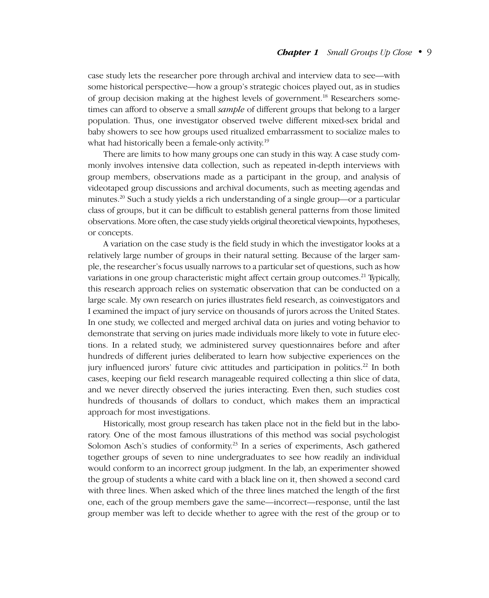# *Chapter 1 Small Groups Up Close*–•–9

case study lets the researcher pore through archival and interview data to see—with some historical perspective—how a group's strategic choices played out, as in studies of group decision making at the highest levels of government.<sup>18</sup> Researchers sometimes can afford to observe a small *sample* of different groups that belong to a larger population. Thus, one investigator observed twelve different mixed-sex bridal and baby showers to see how groups used ritualized embarrassment to socialize males to what had historically been a female-only activity.<sup>19</sup>

There are limits to how many groups one can study in this way. A case study commonly involves intensive data collection, such as repeated in-depth interviews with group members, observations made as a participant in the group, and analysis of videotaped group discussions and archival documents, such as meeting agendas and minutes.20 Such a study yields a rich understanding of a single group—or a particular class of groups, but it can be difficult to establish general patterns from those limited observations. More often, the case study yields original theoretical viewpoints, hypotheses, or concepts.

A variation on the case study is the field study in which the investigator looks at a relatively large number of groups in their natural setting. Because of the larger sample, the researcher's focus usually narrows to a particular set of questions, such as how variations in one group characteristic might affect certain group outcomes.<sup>21</sup> Typically, this research approach relies on systematic observation that can be conducted on a large scale. My own research on juries illustrates field research, as coinvestigators and I examined the impact of jury service on thousands of jurors across the United States. In one study, we collected and merged archival data on juries and voting behavior to demonstrate that serving on juries made individuals more likely to vote in future elections. In a related study, we administered survey questionnaires before and after hundreds of different juries deliberated to learn how subjective experiences on the jury influenced jurors' future civic attitudes and participation in politics.<sup>22</sup> In both cases, keeping our field research manageable required collecting a thin slice of data, and we never directly observed the juries interacting. Even then, such studies cost hundreds of thousands of dollars to conduct, which makes them an impractical approach for most investigations.

Historically, most group research has taken place not in the field but in the laboratory. One of the most famous illustrations of this method was social psychologist Solomon Asch's studies of conformity.<sup>23</sup> In a series of experiments, Asch gathered together groups of seven to nine undergraduates to see how readily an individual would conform to an incorrect group judgment. In the lab, an experimenter showed the group of students a white card with a black line on it, then showed a second card with three lines. When asked which of the three lines matched the length of the first one, each of the group members gave the same—incorrect—response, until the last group member was left to decide whether to agree with the rest of the group or to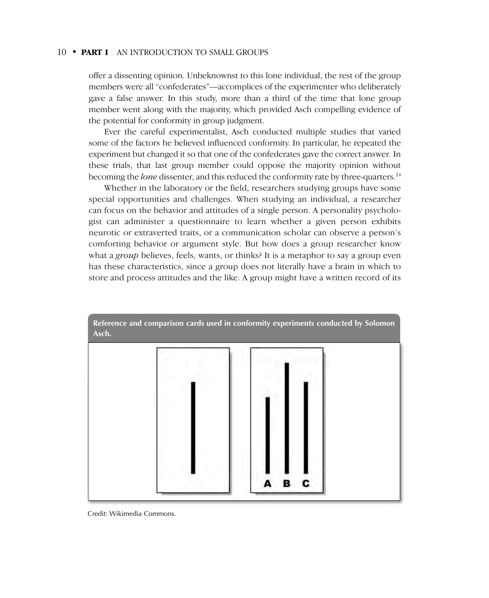offer a dissenting opinion. Unbeknownst to this lone individual, the rest of the group members were all "confederates"—accomplices of the experimenter who deliberately gave a false answer. In this study, more than a third of the time that lone group member went along with the majority, which provided Asch compelling evidence of the potential for conformity in group judgment.

Ever the careful experimentalist, Asch conducted multiple studies that varied some of the factors he believed influenced conformity. In particular, he repeated the experiment but changed it so that one of the confederates gave the correct answer*.* In these trials, that last group member could oppose the majority opinion without becoming the *lone* dissenter, and this reduced the conformity rate by three-quarters.24

Whether in the laboratory or the field, researchers studying groups have some special opportunities and challenges. When studying an individual, a researcher can focus on the behavior and attitudes of a single person. A personality psychologist can administer a questionnaire to learn whether a given person exhibits neurotic or extraverted traits, or a communication scholar can observe a person's comforting behavior or argument style. But how does a group researcher know what a *group* believes, feels, wants, or thinks? It is a metaphor to say a group even has these characteristics, since a group does not literally have a brain in which to store and process attitudes and the like. A group might have a written record of its



Credit: Wikimedia Commons.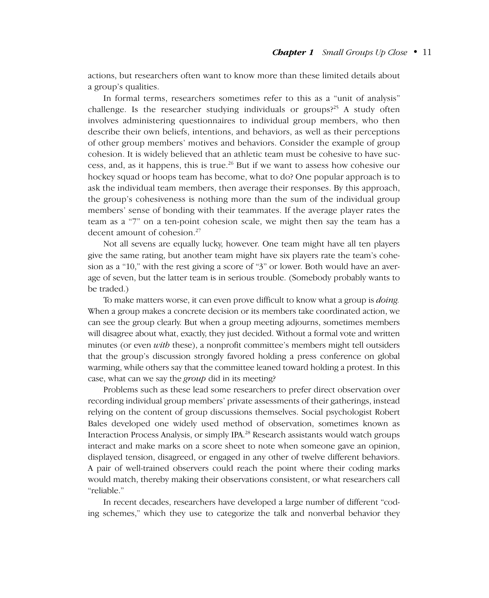actions, but researchers often want to know more than these limited details about a group's qualities.

In formal terms, researchers sometimes refer to this as a "unit of analysis" challenge. Is the researcher studying individuals or groups?<sup>25</sup> A study often involves administering questionnaires to individual group members, who then describe their own beliefs, intentions, and behaviors, as well as their perceptions of other group members' motives and behaviors. Consider the example of group cohesion. It is widely believed that an athletic team must be cohesive to have success, and, as it happens, this is true.<sup>26</sup> But if we want to assess how cohesive our hockey squad or hoops team has become, what to do? One popular approach is to ask the individual team members, then average their responses. By this approach, the group's cohesiveness is nothing more than the sum of the individual group members' sense of bonding with their teammates. If the average player rates the team as a "7" on a ten-point cohesion scale, we might then say the team has a decent amount of cohesion.<sup>27</sup>

Not all sevens are equally lucky, however. One team might have all ten players give the same rating, but another team might have six players rate the team's cohesion as a "10," with the rest giving a score of "3" or lower. Both would have an average of seven, but the latter team is in serious trouble. (Somebody probably wants to be traded.)

To make matters worse, it can even prove difficult to know what a group is *doing.* When a group makes a concrete decision or its members take coordinated action, we can see the group clearly. But when a group meeting adjourns, sometimes members will disagree about what, exactly, they just decided. Without a formal vote and written minutes (or even *with* these), a nonprofit committee's members might tell outsiders that the group's discussion strongly favored holding a press conference on global warming, while others say that the committee leaned toward holding a protest. In this case, what can we say the *group* did in its meeting?

Problems such as these lead some researchers to prefer direct observation over recording individual group members' private assessments of their gatherings, instead relying on the content of group discussions themselves. Social psychologist Robert Bales developed one widely used method of observation, sometimes known as Interaction Process Analysis, or simply IPA.<sup>28</sup> Research assistants would watch groups interact and make marks on a score sheet to note when someone gave an opinion, displayed tension, disagreed, or engaged in any other of twelve different behaviors. A pair of well-trained observers could reach the point where their coding marks would match, thereby making their observations consistent, or what researchers call "reliable."

In recent decades, researchers have developed a large number of different "coding schemes," which they use to categorize the talk and nonverbal behavior they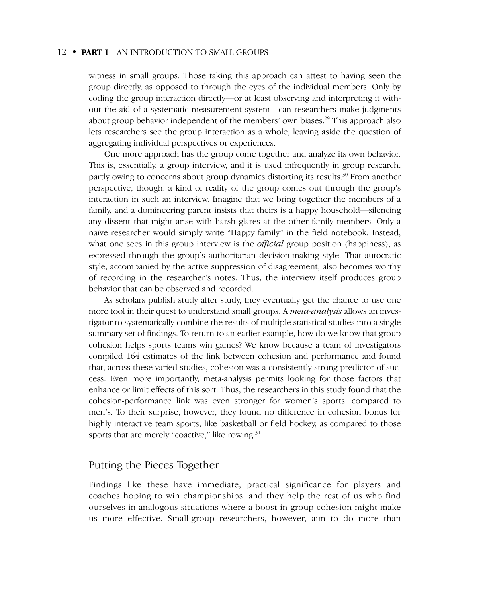witness in small groups. Those taking this approach can attest to having seen the group directly, as opposed to through the eyes of the individual members. Only by coding the group interaction directly—or at least observing and interpreting it without the aid of a systematic measurement system—can researchers make judgments about group behavior independent of the members' own biases.29 This approach also lets researchers see the group interaction as a whole, leaving aside the question of aggregating individual perspectives or experiences.

One more approach has the group come together and analyze its own behavior. This is, essentially, a group interview, and it is used infrequently in group research, partly owing to concerns about group dynamics distorting its results.30 From another perspective, though, a kind of reality of the group comes out through the group's interaction in such an interview. Imagine that we bring together the members of a family, and a domineering parent insists that theirs is a happy household—silencing any dissent that might arise with harsh glares at the other family members. Only a naïve researcher would simply write "Happy family" in the field notebook. Instead, what one sees in this group interview is the *official* group position (happiness), as expressed through the group's authoritarian decision-making style. That autocratic style, accompanied by the active suppression of disagreement, also becomes worthy of recording in the researcher's notes. Thus, the interview itself produces group behavior that can be observed and recorded.

As scholars publish study after study, they eventually get the chance to use one more tool in their quest to understand small groups. A *meta-analysis* allows an investigator to systematically combine the results of multiple statistical studies into a single summary set of findings. To return to an earlier example, how do we know that group cohesion helps sports teams win games? We know because a team of investigators compiled 164 estimates of the link between cohesion and performance and found that, across these varied studies, cohesion was a consistently strong predictor of success. Even more importantly, meta-analysis permits looking for those factors that enhance or limit effects of this sort. Thus, the researchers in this study found that the cohesion-performance link was even stronger for women's sports, compared to men's. To their surprise, however, they found no difference in cohesion bonus for highly interactive team sports, like basketball or field hockey, as compared to those sports that are merely "coactive," like rowing.<sup>31</sup>

# Putting the Pieces Together

Findings like these have immediate, practical significance for players and coaches hoping to win championships, and they help the rest of us who find ourselves in analogous situations where a boost in group cohesion might make us more effective. Small-group researchers, however, aim to do more than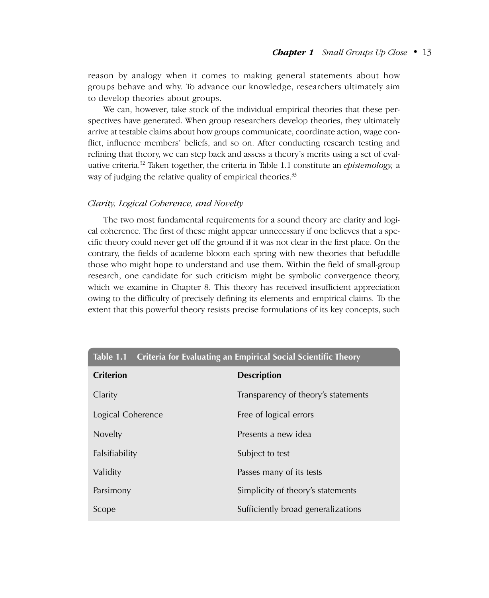#### *Chapter 1 Small Groups Up Close*–•–13

reason by analogy when it comes to making general statements about how groups behave and why. To advance our knowledge, researchers ultimately aim to develop theories about groups.

We can, however, take stock of the individual empirical theories that these perspectives have generated. When group researchers develop theories, they ultimately arrive at testable claims about how groups communicate, coordinate action, wage conflict, influence members' beliefs, and so on. After conducting research testing and refining that theory, we can step back and assess a theory's merits using a set of evaluative criteria.32 Taken together, the criteria in Table 1.1 constitute an *epistemology,* a way of judging the relative quality of empirical theories.<sup>33</sup>

#### *Clarity, Logical Coherence, and Novelty*

The two most fundamental requirements for a sound theory are clarity and logical coherence. The first of these might appear unnecessary if one believes that a specific theory could never get off the ground if it was not clear in the first place. On the contrary, the fields of academe bloom each spring with new theories that befuddle those who might hope to understand and use them. Within the field of small-group research, one candidate for such criticism might be symbolic convergence theory, which we examine in Chapter 8. This theory has received insufficient appreciation owing to the difficulty of precisely defining its elements and empirical claims. To the extent that this powerful theory resists precise formulations of its key concepts, such

| <b>Criterion</b>  | <b>Description</b>                  |
|-------------------|-------------------------------------|
| Clarity           | Transparency of theory's statements |
| Logical Coherence | Free of logical errors              |
| Novelty           | Presents a new idea                 |
| Falsifiability    | Subject to test                     |
| Validity          | Passes many of its tests            |
| Parsimony         | Simplicity of theory's statements   |
| Scope             | Sufficiently broad generalizations  |

# **Table 1.1 Criteria for Evaluating an Empirical Social Scientific Theory**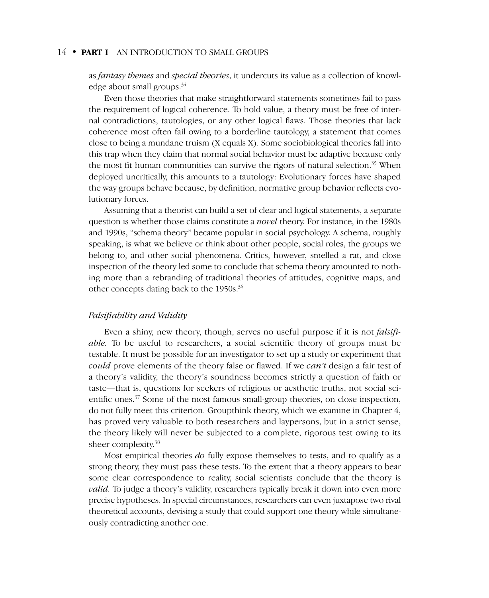as *fantasy themes* and *special theories*, it undercuts its value as a collection of knowledge about small groups.<sup>34</sup>

Even those theories that make straightforward statements sometimes fail to pass the requirement of logical coherence. To hold value, a theory must be free of internal contradictions, tautologies, or any other logical flaws. Those theories that lack coherence most often fail owing to a borderline tautology, a statement that comes close to being a mundane truism (X equals X). Some sociobiological theories fall into this trap when they claim that normal social behavior must be adaptive because only the most fit human communities can survive the rigors of natural selection.<sup>35</sup> When deployed uncritically, this amounts to a tautology: Evolutionary forces have shaped the way groups behave because, by definition, normative group behavior reflects evolutionary forces.

Assuming that a theorist can build a set of clear and logical statements, a separate question is whether those claims constitute a *novel* theory. For instance, in the 1980s and 1990s, "schema theory" became popular in social psychology. A schema, roughly speaking, is what we believe or think about other people, social roles, the groups we belong to, and other social phenomena. Critics, however, smelled a rat, and close inspection of the theory led some to conclude that schema theory amounted to nothing more than a rebranding of traditional theories of attitudes, cognitive maps, and other concepts dating back to the 1950s.<sup>36</sup>

#### *Falsifiability and Validity*

Even a shiny, new theory, though, serves no useful purpose if it is not *falsifiable.* To be useful to researchers, a social scientific theory of groups must be testable. It must be possible for an investigator to set up a study or experiment that *could* prove elements of the theory false or flawed. If we *can't* design a fair test of a theory's validity, the theory's soundness becomes strictly a question of faith or taste—that is, questions for seekers of religious or aesthetic truths, not social scientific ones.37 Some of the most famous small-group theories, on close inspection, do not fully meet this criterion. Groupthink theory, which we examine in Chapter 4, has proved very valuable to both researchers and laypersons, but in a strict sense, the theory likely will never be subjected to a complete, rigorous test owing to its sheer complexity.38

Most empirical theories *do* fully expose themselves to tests, and to qualify as a strong theory, they must pass these tests. To the extent that a theory appears to bear some clear correspondence to reality, social scientists conclude that the theory is *valid*. To judge a theory's validity, researchers typically break it down into even more precise hypotheses. In special circumstances, researchers can even juxtapose two rival theoretical accounts, devising a study that could support one theory while simultaneously contradicting another one.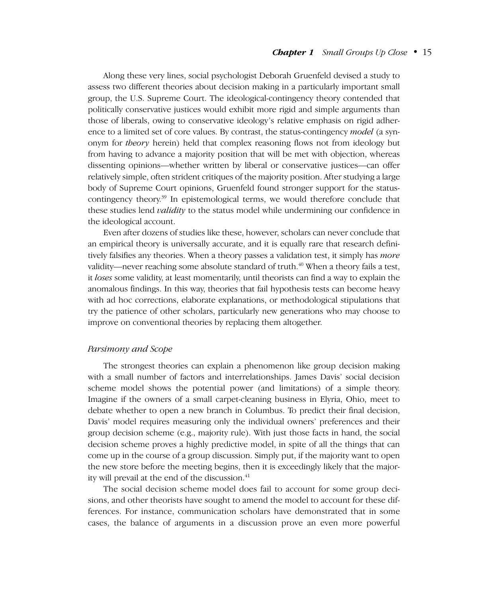#### *Chapter 1 Small Groups Up Close*–•–15

Along these very lines, social psychologist Deborah Gruenfeld devised a study to assess two different theories about decision making in a particularly important small group, the U.S. Supreme Court. The ideological-contingency theory contended that politically conservative justices would exhibit more rigid and simple arguments than those of liberals, owing to conservative ideology's relative emphasis on rigid adherence to a limited set of core values. By contrast, the status-contingency *model* (a synonym for *theory* herein) held that complex reasoning flows not from ideology but from having to advance a majority position that will be met with objection, whereas dissenting opinions—whether written by liberal or conservative justices—can offer relatively simple, often strident critiques of the majority position. After studying a large body of Supreme Court opinions, Gruenfeld found stronger support for the statuscontingency theory.<sup>39</sup> In epistemological terms, we would therefore conclude that these studies lend *validity* to the status model while undermining our confidence in the ideological account.

Even after dozens of studies like these, however, scholars can never conclude that an empirical theory is universally accurate, and it is equally rare that research definitively falsifies any theories. When a theory passes a validation test, it simply has *more* validity—never reaching some absolute standard of truth.<sup>40</sup> When a theory fails a test, it *loses* some validity, at least momentarily, until theorists can find a way to explain the anomalous findings. In this way, theories that fail hypothesis tests can become heavy with ad hoc corrections, elaborate explanations, or methodological stipulations that try the patience of other scholars, particularly new generations who may choose to improve on conventional theories by replacing them altogether.

#### *Parsimony and Scope*

The strongest theories can explain a phenomenon like group decision making with a small number of factors and interrelationships. James Davis' social decision scheme model shows the potential power (and limitations) of a simple theory. Imagine if the owners of a small carpet-cleaning business in Elyria, Ohio, meet to debate whether to open a new branch in Columbus. To predict their final decision, Davis' model requires measuring only the individual owners' preferences and their group decision scheme (e.g., majority rule). With just those facts in hand, the social decision scheme proves a highly predictive model, in spite of all the things that can come up in the course of a group discussion. Simply put, if the majority want to open the new store before the meeting begins, then it is exceedingly likely that the majority will prevail at the end of the discussion.<sup>41</sup>

The social decision scheme model does fail to account for some group decisions, and other theorists have sought to amend the model to account for these differences. For instance, communication scholars have demonstrated that in some cases, the balance of arguments in a discussion prove an even more powerful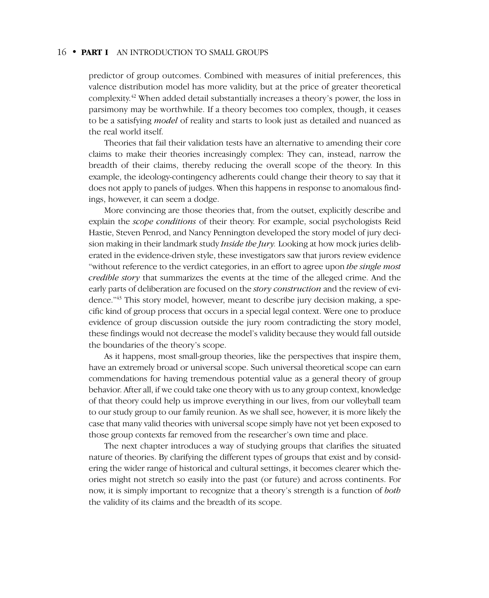predictor of group outcomes. Combined with measures of initial preferences, this valence distribution model has more validity, but at the price of greater theoretical complexity.42 When added detail substantially increases a theory's power, the loss in parsimony may be worthwhile. If a theory becomes too complex, though, it ceases to be a satisfying *model* of reality and starts to look just as detailed and nuanced as the real world itself.

Theories that fail their validation tests have an alternative to amending their core claims to make their theories increasingly complex: They can, instead, narrow the breadth of their claims, thereby reducing the overall scope of the theory. In this example, the ideology-contingency adherents could change their theory to say that it does not apply to panels of judges. When this happens in response to anomalous findings, however, it can seem a dodge.

More convincing are those theories that, from the outset, explicitly describe and explain the *scope conditions* of their theory. For example, social psychologists Reid Hastie, Steven Penrod, and Nancy Pennington developed the story model of jury decision making in their landmark study *Inside the Jury.* Looking at how mock juries deliberated in the evidence-driven style, these investigators saw that jurors review evidence "without reference to the verdict categories, in an effort to agree upon *the single most credible story* that summarizes the events at the time of the alleged crime. And the early parts of deliberation are focused on the *story construction* and the review of evidence."43 This story model, however, meant to describe jury decision making, a specific kind of group process that occurs in a special legal context. Were one to produce evidence of group discussion outside the jury room contradicting the story model, these findings would not decrease the model's validity because they would fall outside the boundaries of the theory's scope.

As it happens, most small-group theories, like the perspectives that inspire them, have an extremely broad or universal scope. Such universal theoretical scope can earn commendations for having tremendous potential value as a general theory of group behavior. After all, if we could take one theory with us to any group context, knowledge of that theory could help us improve everything in our lives, from our volleyball team to our study group to our family reunion. As we shall see, however, it is more likely the case that many valid theories with universal scope simply have not yet been exposed to those group contexts far removed from the researcher's own time and place.

The next chapter introduces a way of studying groups that clarifies the situated nature of theories. By clarifying the different types of groups that exist and by considering the wider range of historical and cultural settings, it becomes clearer which theories might not stretch so easily into the past (or future) and across continents. For now, it is simply important to recognize that a theory's strength is a function of *both* the validity of its claims and the breadth of its scope.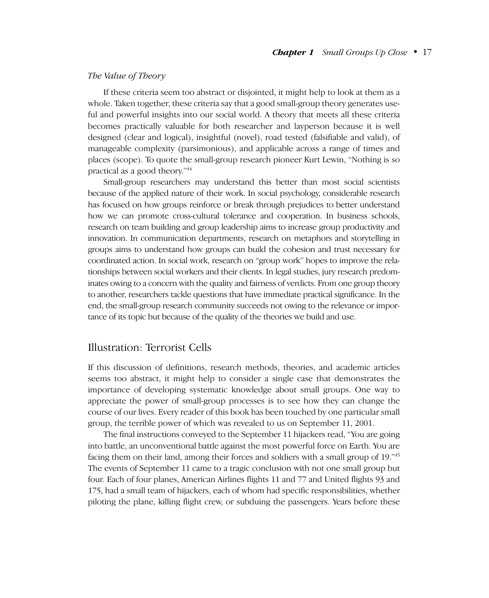#### *The Value of Theory*

If these criteria seem too abstract or disjointed, it might help to look at them as a whole. Taken together, these criteria say that a good small-group theory generates useful and powerful insights into our social world. A theory that meets all these criteria becomes practically valuable for both researcher and layperson because it is well designed (clear and logical), insightful (novel), road tested (falsifiable and valid), of manageable complexity (parsimonious), and applicable across a range of times and places (scope). To quote the small-group research pioneer Kurt Lewin, "Nothing is so practical as a good theory."44

Small-group researchers may understand this better than most social scientists because of the applied nature of their work. In social psychology, considerable research has focused on how groups reinforce or break through prejudices to better understand how we can promote cross-cultural tolerance and cooperation. In business schools, research on team building and group leadership aims to increase group productivity and innovation. In communication departments, research on metaphors and storytelling in groups aims to understand how groups can build the cohesion and trust necessary for coordinated action. In social work, research on "group work" hopes to improve the relationships between social workers and their clients. In legal studies, jury research predominates owing to a concern with the quality and fairness of verdicts. From one group theory to another, researchers tackle questions that have immediate practical significance. In the end, the small-group research community succeeds not owing to the relevance or importance of its topic but because of the quality of the theories we build and use.

# Illustration: Terrorist Cells

If this discussion of definitions, research methods, theories, and academic articles seems too abstract, it might help to consider a single case that demonstrates the importance of developing systematic knowledge about small groups. One way to appreciate the power of small-group processes is to see how they can change the course of our lives. Every reader of this book has been touched by one particular small group, the terrible power of which was revealed to us on September 11, 2001.

The final instructions conveyed to the September 11 hijackers read, "You are going into battle, an unconventional battle against the most powerful force on Earth. You are facing them on their land, among their forces and soldiers with a small group of 19.<sup>745</sup> The events of September 11 came to a tragic conclusion with not one small group but four. Each of four planes, American Airlines flights 11 and 77 and United flights 93 and 175, had a small team of hijackers, each of whom had specific responsibilities, whether piloting the plane, killing flight crew, or subduing the passengers. Years before these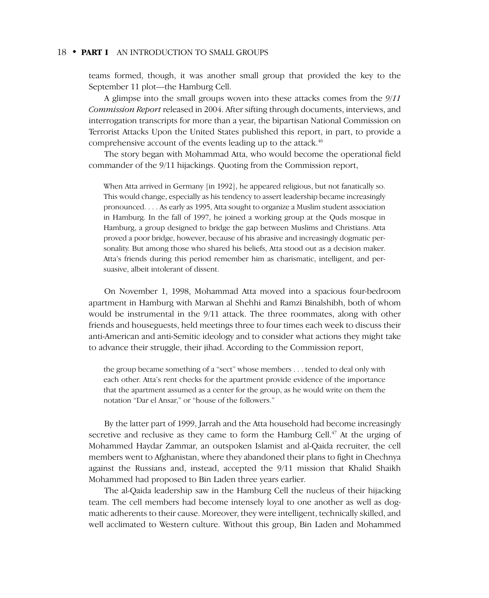teams formed, though, it was another small group that provided the key to the September 11 plot—the Hamburg Cell.

A glimpse into the small groups woven into these attacks comes from the *9/11 Commission Report* released in 2004. After sifting through documents, interviews, and interrogation transcripts for more than a year, the bipartisan National Commission on Terrorist Attacks Upon the United States published this report, in part, to provide a comprehensive account of the events leading up to the attack.<sup>46</sup>

The story began with Mohammad Atta, who would become the operational field commander of the 9/11 hijackings. Quoting from the Commission report,

When Atta arrived in Germany [in 1992], he appeared religious, but not fanatically so. This would change, especially as his tendency to assert leadership became increasingly pronounced. . . . As early as 1995, Atta sought to organize a Muslim student association in Hamburg. In the fall of 1997, he joined a working group at the Quds mosque in Hamburg, a group designed to bridge the gap between Muslims and Christians. Atta proved a poor bridge, however, because of his abrasive and increasingly dogmatic personality. But among those who shared his beliefs, Atta stood out as a decision maker. Atta's friends during this period remember him as charismatic, intelligent, and persuasive, albeit intolerant of dissent.

On November 1, 1998, Mohammad Atta moved into a spacious four-bedroom apartment in Hamburg with Marwan al Shehhi and Ramzi Binalshibh, both of whom would be instrumental in the 9/11 attack. The three roommates, along with other friends and houseguests, held meetings three to four times each week to discuss their anti-American and anti-Semitic ideology and to consider what actions they might take to advance their struggle, their jihad. According to the Commission report,

the group became something of a "sect" whose members ... tended to deal only with each other. Atta's rent checks for the apartment provide evidence of the importance that the apartment assumed as a center for the group, as he would write on them the notation "Dar el Ansar," or "house of the followers."

By the latter part of 1999, Jarrah and the Atta household had become increasingly secretive and reclusive as they came to form the Hamburg Cell.<sup>47</sup> At the urging of Mohammed Haydar Zammar, an outspoken Islamist and al-Qaida recruiter, the cell members went to Afghanistan, where they abandoned their plans to fight in Chechnya against the Russians and, instead, accepted the 9/11 mission that Khalid Shaikh Mohammed had proposed to Bin Laden three years earlier.

The al-Qaida leadership saw in the Hamburg Cell the nucleus of their hijacking team. The cell members had become intensely loyal to one another as well as dogmatic adherents to their cause. Moreover, they were intelligent, technically skilled, and well acclimated to Western culture. Without this group, Bin Laden and Mohammed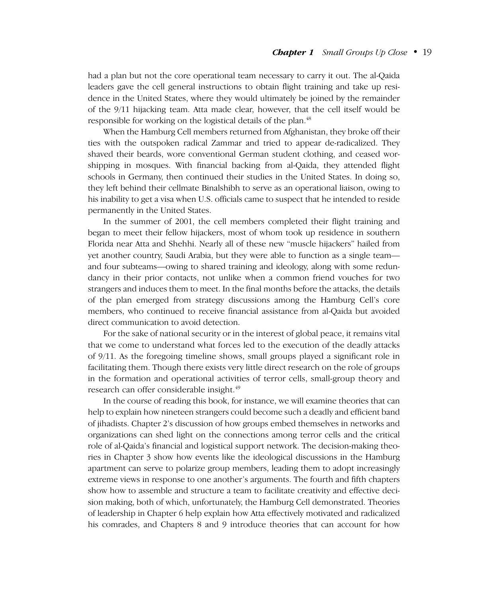had a plan but not the core operational team necessary to carry it out. The al-Qaida leaders gave the cell general instructions to obtain flight training and take up residence in the United States, where they would ultimately be joined by the remainder of the 9/11 hijacking team. Atta made clear, however, that the cell itself would be responsible for working on the logistical details of the plan.<sup>48</sup>

When the Hamburg Cell members returned from Afghanistan, they broke off their ties with the outspoken radical Zammar and tried to appear de-radicalized. They shaved their beards, wore conventional German student clothing, and ceased worshipping in mosques. With financial backing from al-Qaida, they attended flight schools in Germany, then continued their studies in the United States. In doing so, they left behind their cellmate Binalshibh to serve as an operational liaison, owing to his inability to get a visa when U.S. officials came to suspect that he intended to reside permanently in the United States.

In the summer of 2001, the cell members completed their flight training and began to meet their fellow hijackers, most of whom took up residence in southern Florida near Atta and Shehhi. Nearly all of these new "muscle hijackers" hailed from yet another country, Saudi Arabia, but they were able to function as a single team and four subteams—owing to shared training and ideology, along with some redundancy in their prior contacts, not unlike when a common friend vouches for two strangers and induces them to meet. In the final months before the attacks, the details of the plan emerged from strategy discussions among the Hamburg Cell's core members, who continued to receive financial assistance from al-Qaida but avoided direct communication to avoid detection.

For the sake of national security or in the interest of global peace, it remains vital that we come to understand what forces led to the execution of the deadly attacks of 9/11. As the foregoing timeline shows, small groups played a significant role in facilitating them. Though there exists very little direct research on the role of groups in the formation and operational activities of terror cells, small-group theory and research can offer considerable insight.<sup>49</sup>

In the course of reading this book, for instance, we will examine theories that can help to explain how nineteen strangers could become such a deadly and efficient band of jihadists. Chapter 2's discussion of how groups embed themselves in networks and organizations can shed light on the connections among terror cells and the critical role of al-Qaida's financial and logistical support network. The decision-making theories in Chapter 3 show how events like the ideological discussions in the Hamburg apartment can serve to polarize group members, leading them to adopt increasingly extreme views in response to one another's arguments. The fourth and fifth chapters show how to assemble and structure a team to facilitate creativity and effective decision making, both of which, unfortunately, the Hamburg Cell demonstrated. Theories of leadership in Chapter 6 help explain how Atta effectively motivated and radicalized his comrades, and Chapters 8 and 9 introduce theories that can account for how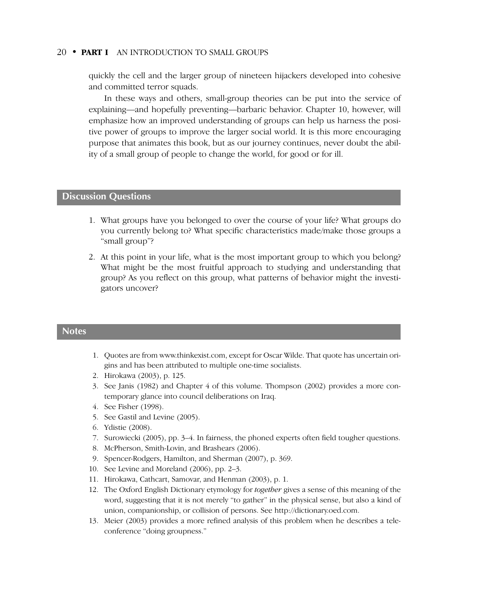quickly the cell and the larger group of nineteen hijackers developed into cohesive and committed terror squads.

In these ways and others, small-group theories can be put into the service of explaining—and hopefully preventing—barbaric behavior. Chapter 10, however, will emphasize how an improved understanding of groups can help us harness the positive power of groups to improve the larger social world. It is this more encouraging purpose that animates this book, but as our journey continues, never doubt the ability of a small group of people to change the world, for good or for ill.

# **Discussion Questions**

- 1. What groups have you belonged to over the course of your life? What groups do you currently belong to? What specific characteristics made/make those groups a "small group"?
- 2. At this point in your life, what is the most important group to which you belong? What might be the most fruitful approach to studying and understanding that group? As you reflect on this group, what patterns of behavior might the investigators uncover?

#### **Notes**

- 1. Quotes are from www.thinkexist.com, except for Oscar Wilde. That quote has uncertain origins and has been attributed to multiple one-time socialists.
- 2. Hirokawa (2003), p. 125.
- 3. See Janis (1982) and Chapter 4 of this volume. Thompson (2002) provides a more contemporary glance into council deliberations on Iraq.
- 4. See Fisher (1998).
- 5. See Gastil and Levine (2005).
- 6. Ydistie (2008).
- 7. Surowiecki (2005), pp. 3–4. In fairness, the phoned experts often field tougher questions.
- 8. McPherson, Smith-Lovin, and Brashears (2006).
- 9. Spencer-Rodgers, Hamilton, and Sherman (2007), p. 369.
- 10. See Levine and Moreland (2006), pp. 2–3.
- 11. Hirokawa, Cathcart, Samovar, and Henman (2003), p. 1.
- 12. The Oxford English Dictionary etymology for *together* gives a sense of this meaning of the word, suggesting that it is not merely "to gather" in the physical sense, but also a kind of union, companionship, or collision of persons. See http://dictionary.oed.com.
- 13. Meier (2003) provides a more refined analysis of this problem when he describes a teleconference "doing groupness."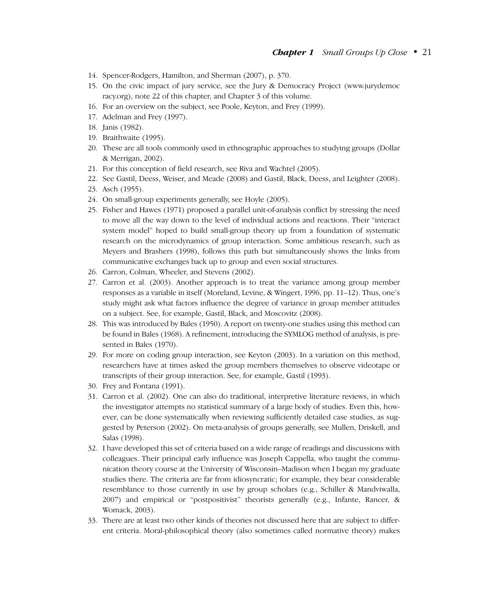- 14. Spencer-Rodgers, Hamilton, and Sherman (2007), p. 370.
- 15. On the civic impact of jury service, see the Jury & Democracy Project (www.jurydemoc racy.org), note 22 of this chapter, and Chapter 3 of this volume.
- 16. For an overview on the subject, see Poole, Keyton, and Frey (1999).
- 17. Adelman and Frey (1997).
- 18. Janis (1982).
- 19. Braithwaite (1995).
- 20. These are all tools commonly used in ethnographic approaches to studying groups (Dollar & Merrigan, 2002).
- 21. For this conception of field research, see Riva and Wachtel (2005).
- 22. See Gastil, Deess, Weiser, and Meade (2008) and Gastil, Black, Deess, and Leighter (2008).
- 23. Asch (1955).
- 24. On small-group experiments generally, see Hoyle (2005).
- 25. Fisher and Hawes (1971) proposed a parallel unit-of-analysis conflict by stressing the need to move all the way down to the level of individual actions and reactions. Their "interact system model" hoped to build small-group theory up from a foundation of systematic research on the microdynamics of group interaction. Some ambitious research, such as Meyers and Brashers (1998), follows this path but simultaneously shows the links from communicative exchanges back up to group and even social structures.
- 26. Carron, Colman, Wheeler, and Stevens (2002).
- 27. Carron et al. (2003). Another approach is to treat the variance among group member responses as a variable in itself (Moreland, Levine, & Wingert, 1996, pp. 11–12). Thus, one's study might ask what factors influence the degree of variance in group member attitudes on a subject. See, for example, Gastil, Black, and Moscovitz (2008).
- 28. This was introduced by Bales (1950). A report on twenty-one studies using this method can be found in Bales (1968). A refinement, introducing the SYMLOG method of analysis, is presented in Bales (1970).
- 29. For more on coding group interaction, see Keyton (2003). In a variation on this method, researchers have at times asked the group members themselves to observe videotape or transcripts of their group interaction. See, for example, Gastil (1993).
- 30. Frey and Fontana (1991).
- 31. Carron et al. (2002). One can also do traditional, interpretive literature reviews, in which the investigator attempts no statistical summary of a large body of studies. Even this, however, can be done systematically when reviewing sufficiently detailed case studies, as suggested by Peterson (2002). On meta-analysis of groups generally, see Mullen, Driskell, and Salas (1998).
- 32. I have developed this set of criteria based on a wide range of readings and discussions with colleagues. Their principal early influence was Joseph Cappella, who taught the communication theory course at the University of Wisconsin–Madison when I began my graduate studies there. The criteria are far from idiosyncratic; for example, they bear considerable resemblance to those currently in use by group scholars (e.g., Schiller & Mandviwalla, 2007) and empirical or "postpositivist" theorists generally (e.g., Infante, Rancer, & Womack, 2003).
- 33. There are at least two other kinds of theories not discussed here that are subject to different criteria. Moral-philosophical theory (also sometimes called normative theory) makes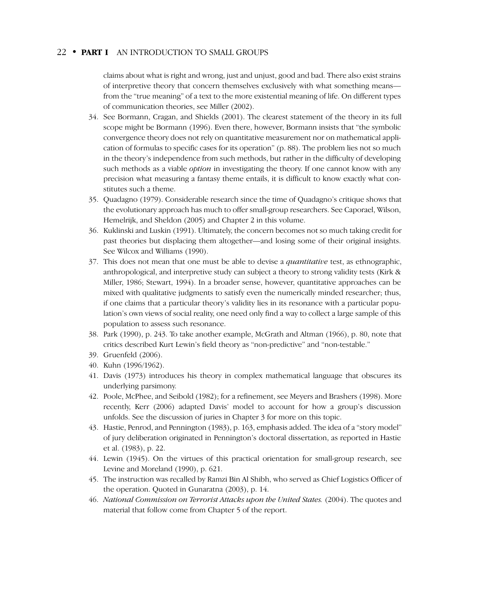claims about what is right and wrong, just and unjust, good and bad. There also exist strains of interpretive theory that concern themselves exclusively with what something means from the "true meaning" of a text to the more existential meaning of life. On different types of communication theories, see Miller (2002).

- 34. See Bormann, Cragan, and Shields (2001). The clearest statement of the theory in its full scope might be Bormann (1996). Even there, however, Bormann insists that "the symbolic convergence theory does not rely on quantitative measurement nor on mathematical application of formulas to specific cases for its operation" (p. 88). The problem lies not so much in the theory's independence from such methods, but rather in the difficulty of developing such methods as a viable *option* in investigating the theory. If one cannot know with any precision what measuring a fantasy theme entails, it is difficult to know exactly what constitutes such a theme.
- 35. Quadagno (1979). Considerable research since the time of Quadagno's critique shows that the evolutionary approach has much to offer small-group researchers. See Caporael, Wilson, Hemelrijk, and Sheldon (2005) and Chapter 2 in this volume.
- 36. Kuklinski and Luskin (1991). Ultimately, the concern becomes not so much taking credit for past theories but displacing them altogether—and losing some of their original insights. See Wilcox and Williams (1990).
- 37. This does not mean that one must be able to devise a *quantitative* test, as ethnographic, anthropological, and interpretive study can subject a theory to strong validity tests (Kirk & Miller, 1986; Stewart, 1994). In a broader sense, however, quantitative approaches can be mixed with qualitative judgments to satisfy even the numerically minded researcher; thus, if one claims that a particular theory's validity lies in its resonance with a particular population's own views of social reality, one need only find a way to collect a large sample of this population to assess such resonance.
- 38. Park (1990), p. 243. To take another example, McGrath and Altman (1966), p. 80, note that critics described Kurt Lewin's field theory as "non-predictive" and "non-testable."
- 39. Gruenfeld (2006).
- 40. Kuhn (1996/1962).
- 41. Davis (1973) introduces his theory in complex mathematical language that obscures its underlying parsimony.
- 42. Poole, McPhee, and Seibold (1982); for a refinement, see Meyers and Brashers (1998). More recently, Kerr (2006) adapted Davis' model to account for how a group's discussion unfolds. See the discussion of juries in Chapter 3 for more on this topic.
- 43. Hastie, Penrod, and Pennington (1983), p. 163, emphasis added. The idea of a "story model" of jury deliberation originated in Pennington's doctoral dissertation, as reported in Hastie et al. (1983), p. 22.
- 44. Lewin (1945). On the virtues of this practical orientation for small-group research, see Levine and Moreland (1990), p. 621.
- 45. The instruction was recalled by Ramzi Bin Al Shibh, who served as Chief Logistics Officer of the operation. Quoted in Gunaratna (2003), p. 14.
- 46. *National Commission on Terrorist Attacks upon the United States.* (2004). The quotes and material that follow come from Chapter 5 of the report.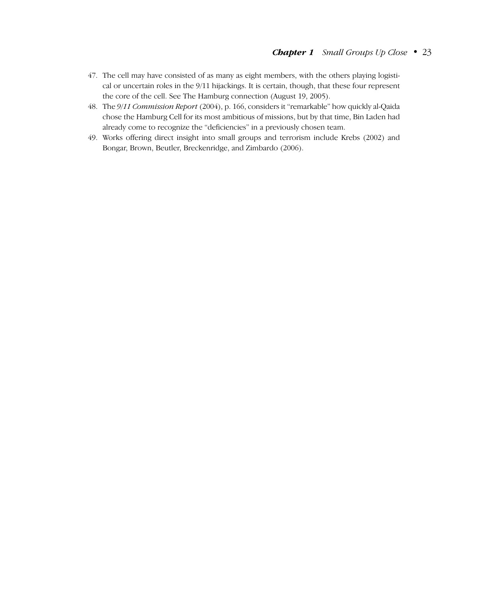- 47. The cell may have consisted of as many as eight members, with the others playing logistical or uncertain roles in the 9/11 hijackings. It is certain, though, that these four represent the core of the cell. See The Hamburg connection (August 19, 2005).
- 48. The *9/11 Commission Report* (2004), p. 166, considers it "remarkable" how quickly al-Qaida chose the Hamburg Cell for its most ambitious of missions, but by that time, Bin Laden had already come to recognize the "deficiencies" in a previously chosen team.
- 49. Works offering direct insight into small groups and terrorism include Krebs (2002) and Bongar, Brown, Beutler, Breckenridge, and Zimbardo (2006).